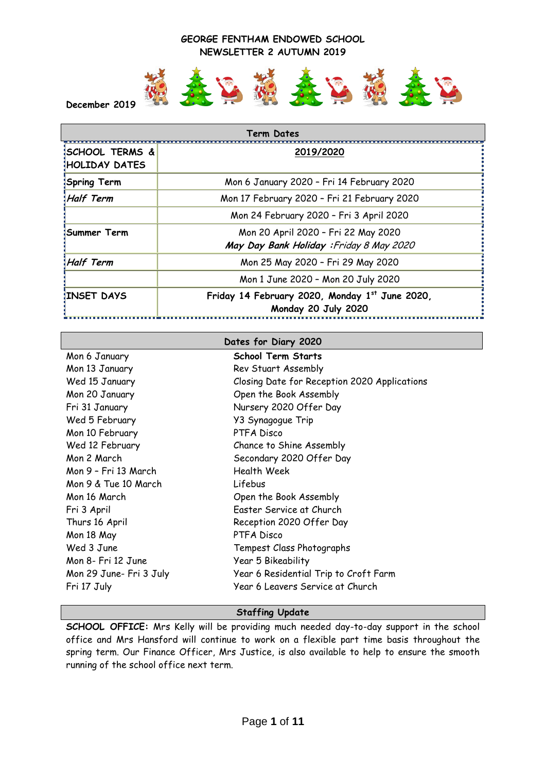

**December 2019**

| Term Dates                                         |                                                                                |  |
|----------------------------------------------------|--------------------------------------------------------------------------------|--|
| <b>ISCHOOL TERMS &amp;</b><br><b>HOLIDAY DATES</b> | 2019/2020                                                                      |  |
| Spring Term                                        | Mon 6 January 2020 - Fri 14 February 2020                                      |  |
| Half Term!                                         | Mon 17 February 2020 - Fri 21 February 2020                                    |  |
|                                                    | Mon 24 February 2020 - Fri 3 April 2020                                        |  |
| ‡Summer Term                                       | Mon 20 April 2020 - Fri 22 May 2020<br>May Day Bank Holiday: Friday 8 May 2020 |  |
| <b>Half Term</b>                                   | Mon 25 May 2020 - Fri 29 May 2020                                              |  |
|                                                    | Mon 1 June 2020 - Mon 20 July 2020                                             |  |
| <b>INSET DAYS</b>                                  | Friday 14 February 2020, Monday 1st June 2020,<br>Monday 20 July 2020          |  |

| Dates for Diary 2020    |                                              |  |  |  |
|-------------------------|----------------------------------------------|--|--|--|
| Mon 6 January           | <b>School Term Starts</b>                    |  |  |  |
| Mon 13 January          | Rev Stuart Assembly                          |  |  |  |
| Wed 15 January          | Closing Date for Reception 2020 Applications |  |  |  |
| Mon 20 January          | Open the Book Assembly                       |  |  |  |
| Fri 31 January          | Nursery 2020 Offer Day                       |  |  |  |
| Wed 5 February          | Y3 Synagogue Trip                            |  |  |  |
| Mon 10 February         | PTFA Disco                                   |  |  |  |
| Wed 12 February         | Chance to Shine Assembly                     |  |  |  |
| Mon 2 March             | Secondary 2020 Offer Day                     |  |  |  |
| Mon 9 - Fri 13 March    | <b>Health Week</b>                           |  |  |  |
| Mon 9 & Tue 10 March    | Lifebus                                      |  |  |  |
| Mon 16 March            | Open the Book Assembly                       |  |  |  |
| Fri 3 April             | Easter Service at Church                     |  |  |  |
| Thurs 16 April          | Reception 2020 Offer Day                     |  |  |  |
| Mon 18 May              | PTFA Disco                                   |  |  |  |
| Wed 3 June              | Tempest Class Photographs                    |  |  |  |
| Mon 8- Fri 12 June      | Year 5 Bikeability                           |  |  |  |
| Mon 29 June- Fri 3 July | Year 6 Residential Trip to Croft Farm        |  |  |  |
| Fri 17 July             | Year 6 Leavers Service at Church             |  |  |  |

# **Staffing Update**

**SCHOOL OFFICE:** Mrs Kelly will be providing much needed day-to-day support in the school office and Mrs Hansford will continue to work on a flexible part time basis throughout the spring term. Our Finance Officer, Mrs Justice, is also available to help to ensure the smooth running of the school office next term.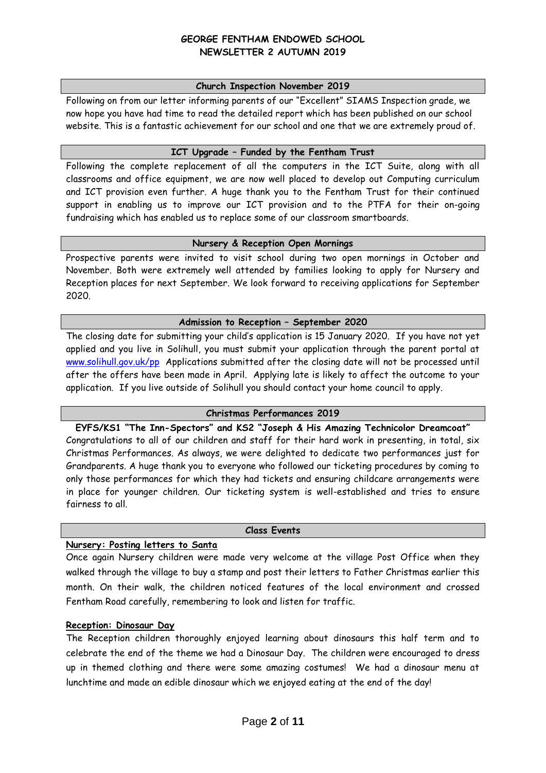### **Church Inspection November 2019**

Following on from our letter informing parents of our "Excellent" SIAMS Inspection grade, we now hope you have had time to read the detailed report which has been published on our school website. This is a fantastic achievement for our school and one that we are extremely proud of.

### **ICT Upgrade – Funded by the Fentham Trust**

Following the complete replacement of all the computers in the ICT Suite, along with all classrooms and office equipment, we are now well placed to develop out Computing curriculum and ICT provision even further. A huge thank you to the Fentham Trust for their continued support in enabling us to improve our ICT provision and to the PTFA for their on-going fundraising which has enabled us to replace some of our classroom smartboards.

### **Nursery & Reception Open Mornings**

Prospective parents were invited to visit school during two open mornings in October and November. Both were extremely well attended by families looking to apply for Nursery and Reception places for next September. We look forward to receiving applications for September 2020.

### **Admission to Reception – September 2020**

The closing date for submitting your child's application is 15 January 2020. If you have not yet applied and you live in Solihull, you must submit your application through the parent portal at [www.solihull.gov.uk/pp](http://www.solihull.gov.uk/pp) Applications submitted after the closing date will not be processed until after the offers have been made in April. Applying late is likely to affect the outcome to your application. If you live outside of Solihull you should contact your home council to apply.

# **Christmas Performances 2019**

**EYFS/KS1 "The Inn-Spectors" and KS2 "Joseph & His Amazing Technicolor Dreamcoat"** Congratulations to all of our children and staff for their hard work in presenting, in total, six Christmas Performances. As always, we were delighted to dedicate two performances just for Grandparents. A huge thank you to everyone who followed our ticketing procedures by coming to only those performances for which they had tickets and ensuring childcare arrangements were in place for younger children. Our ticketing system is well-established and tries to ensure fairness to all.

#### **Class Events**

# **Nursery: Posting letters to Santa**

Once again Nursery children were made very welcome at the village Post Office when they walked through the village to buy a stamp and post their letters to Father Christmas earlier this month. On their walk, the children noticed features of the local environment and crossed Fentham Road carefully, remembering to look and listen for traffic.

# **Reception: Dinosaur Day**

The Reception children thoroughly enjoyed learning about dinosaurs this half term and to celebrate the end of the theme we had a Dinosaur Day. The children were encouraged to dress up in themed clothing and there were some amazing costumes! We had a dinosaur menu at lunchtime and made an edible dinosaur which we enjoyed eating at the end of the day!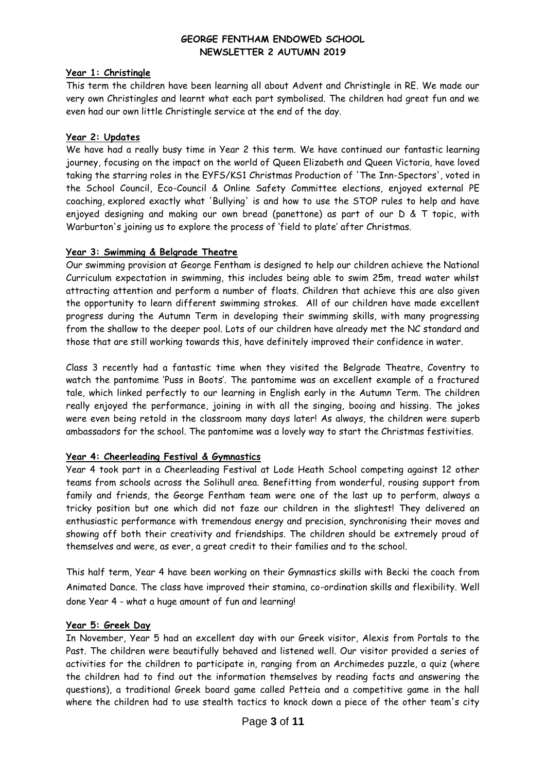# **Year 1: Christingle**

This term the children have been learning all about Advent and Christingle in RE. We made our very own Christingles and learnt what each part symbolised. The children had great fun and we even had our own little Christingle service at the end of the day.

# **Year 2: Updates**

We have had a really busy time in Year 2 this term. We have continued our fantastic learning journey, focusing on the impact on the world of Queen Elizabeth and Queen Victoria, have loved taking the starring roles in the EYFS/KS1 Christmas Production of 'The Inn-Spectors', voted in the School Council, Eco-Council & Online Safety Committee elections, enjoyed external PE coaching, explored exactly what 'Bullying' is and how to use the STOP rules to help and have enjoyed designing and making our own bread (panettone) as part of our D & T topic, with Warburton's joining us to explore the process of 'field to plate' after Christmas.

# **Year 3: Swimming & Belgrade Theatre**

Our swimming provision at George Fentham is designed to help our children achieve the National Curriculum expectation in swimming, this includes being able to swim 25m, tread water whilst attracting attention and perform a number of floats. Children that achieve this are also given the opportunity to learn different swimming strokes. All of our children have made excellent progress during the Autumn Term in developing their swimming skills, with many progressing from the shallow to the deeper pool. Lots of our children have already met the NC standard and those that are still working towards this, have definitely improved their confidence in water.

Class 3 recently had a fantastic time when they visited the Belgrade Theatre, Coventry to watch the pantomime 'Puss in Boots'. The pantomime was an excellent example of a fractured tale, which linked perfectly to our learning in English early in the Autumn Term. The children really enjoyed the performance, joining in with all the singing, booing and hissing. The jokes were even being retold in the classroom many days later! As always, the children were superb ambassadors for the school. The pantomime was a lovely way to start the Christmas festivities.

# **Year 4: Cheerleading Festival & Gymnastics**

Year 4 took part in a Cheerleading Festival at Lode Heath School competing against 12 other teams from schools across the Solihull area. Benefitting from wonderful, rousing support from family and friends, the George Fentham team were one of the last up to perform, always a tricky position but one which did not faze our children in the slightest! They delivered an enthusiastic performance with tremendous energy and precision, synchronising their moves and showing off both their creativity and friendships. The children should be extremely proud of themselves and were, as ever, a great credit to their families and to the school.

This half term, Year 4 have been working on their Gymnastics skills with Becki the coach from Animated Dance. The class have improved their stamina, co-ordination skills and flexibility. Well done Year 4 - what a huge amount of fun and learning!

# **Year 5: Greek Day**

In November, Year 5 had an excellent day with our Greek visitor, Alexis from Portals to the Past. The children were beautifully behaved and listened well. Our visitor provided a series of activities for the children to participate in, ranging from an Archimedes puzzle, a quiz (where the children had to find out the information themselves by reading facts and answering the questions), a traditional Greek board game called Petteia and a competitive game in the hall where the children had to use stealth tactics to knock down a piece of the other team's city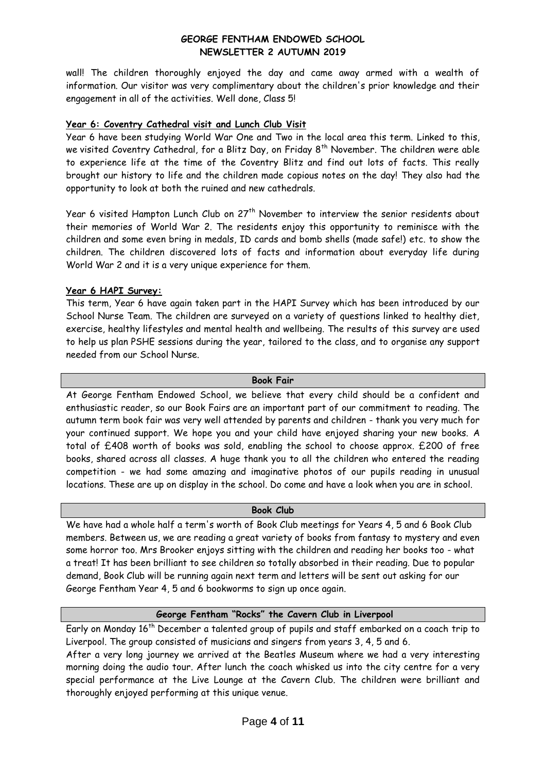wall! The children thoroughly enjoyed the day and came away armed with a wealth of information. Our visitor was very complimentary about the children's prior knowledge and their engagement in all of the activities. Well done, Class 5!

# **Year 6: Coventry Cathedral visit and Lunch Club Visit**

Year 6 have been studying World War One and Two in the local area this term. Linked to this, we visited Coventry Cathedral, for a Blitz Day, on Friday 8<sup>th</sup> November. The children were able to experience life at the time of the Coventry Blitz and find out lots of facts. This really brought our history to life and the children made copious notes on the day! They also had the opportunity to look at both the ruined and new cathedrals.

Year 6 visited Hampton Lunch Club on 27<sup>th</sup> November to interview the senior residents about their memories of World War 2. The residents enjoy this opportunity to reminisce with the children and some even bring in medals, ID cards and bomb shells (made safe!) etc. to show the children. The children discovered lots of facts and information about everyday life during World War 2 and it is a very unique experience for them.

# **Year 6 HAPI Survey:**

This term, Year 6 have again taken part in the HAPI Survey which has been introduced by our School Nurse Team. The children are surveyed on a variety of questions linked to healthy diet, exercise, healthy lifestyles and mental health and wellbeing. The results of this survey are used to help us plan PSHE sessions during the year, tailored to the class, and to organise any support needed from our School Nurse.

### **Book Fair**

At George Fentham Endowed School, we believe that every child should be a confident and enthusiastic reader, so our Book Fairs are an important part of our commitment to reading. The autumn term book fair was very well attended by parents and children - thank you very much for your continued support. We hope you and your child have enjoyed sharing your new books. A total of £408 worth of books was sold, enabling the school to choose approx. £200 of free books, shared across all classes. A huge thank you to all the children who entered the reading competition - we had some amazing and imaginative photos of our pupils reading in unusual locations. These are up on display in the school. Do come and have a look when you are in school.

#### **Book Club**

We have had a whole half a term's worth of Book Club meetings for Years 4, 5 and 6 Book Club members. Between us, we are reading a great variety of books from fantasy to mystery and even some horror too. Mrs Brooker enjoys sitting with the children and reading her books too - what a treat! It has been brilliant to see children so totally absorbed in their reading. Due to popular demand, Book Club will be running again next term and letters will be sent out asking for our George Fentham Year 4, 5 and 6 bookworms to sign up once again.

# **George Fentham "Rocks" the Cavern Club in Liverpool**

Early on Monday 16<sup>th</sup> December a talented group of pupils and staff embarked on a coach trip to Liverpool. The group consisted of musicians and singers from years 3, 4, 5 and 6. After a very long journey we arrived at the Beatles Museum where we had a very interesting morning doing the audio tour. After lunch the coach whisked us into the city centre for a very special performance at the Live Lounge at the Cavern Club. The children were brilliant and thoroughly enjoyed performing at this unique venue.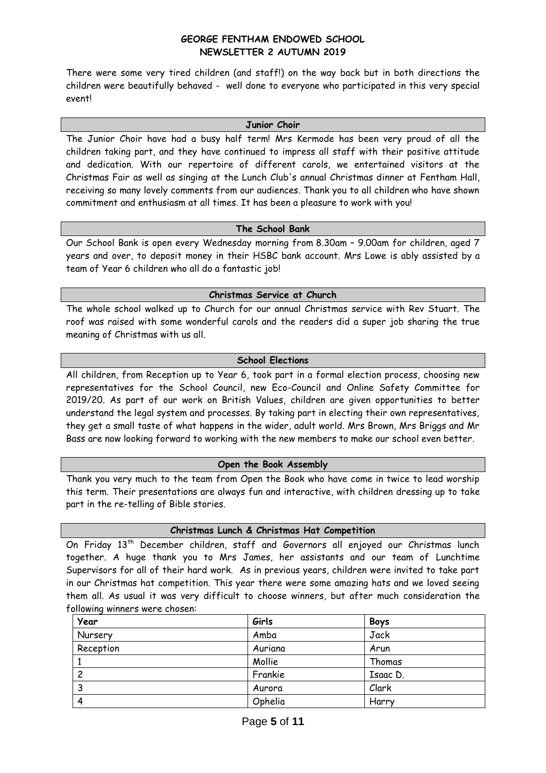There were some very tired children (and staff!) on the way back but in both directions the children were beautifully behaved - well done to everyone who participated in this very special event!

#### **Junior Choir**

The Junior Choir have had a busy half term! Mrs Kermode has been very proud of all the children taking part, and they have continued to impress all staff with their positive attitude and dedication. With our repertoire of different carols, we entertained visitors at the Christmas Fair as well as singing at the Lunch Club's annual Christmas dinner at Fentham Hall, receiving so many lovely comments from our audiences. Thank you to all children who have shown commitment and enthusiasm at all times. It has been a pleasure to work with you!

#### **The School Bank**

Our School Bank is open every Wednesday morning from 8.30am – 9.00am for children, aged 7 years and over, to deposit money in their HSBC bank account. Mrs Lowe is ably assisted by a team of Year 6 children who all do a fantastic job!

### **Christmas Service at Church**

The whole school walked up to Church for our annual Christmas service with Rev Stuart. The roof was raised with some wonderful carols and the readers did a super job sharing the true meaning of Christmas with us all.

### **School Elections**

All children, from Reception up to Year 6, took part in a formal election process, choosing new representatives for the School Council, new Eco-Council and Online Safety Committee for 2019/20. As part of our work on British Values, children are given opportunities to better understand the legal system and processes. By taking part in electing their own representatives, they get a small taste of what happens in the wider, adult world. Mrs Brown, Mrs Briggs and Mr Bass are now looking forward to working with the new members to make our school even better.

#### **Open the Book Assembly**

Thank you very much to the team from Open the Book who have come in twice to lead worship this term. Their presentations are always fun and interactive, with children dressing up to take part in the re-telling of Bible stories.

# **Christmas Lunch & Christmas Hat Competition**

On Friday 13<sup>th</sup> December children, staff and Governors all enjoyed our Christmas lunch together. A huge thank you to Mrs James, her assistants and our team of Lunchtime Supervisors for all of their hard work. As in previous years, children were invited to take part in our Christmas hat competition. This year there were some amazing hats and we loved seeing them all. As usual it was very difficult to choose winners, but after much consideration the following winners were chosen:

| Year      | Girls   | <b>Boys</b> |
|-----------|---------|-------------|
| Nursery   | Amba    | Jack        |
| Reception | Auriana | Arun        |
|           | Mollie  | Thomas      |
| ົ         | Frankie | Isaac D.    |
| 3         | Aurora  | Clark       |
| 4         | Ophelia | Harry       |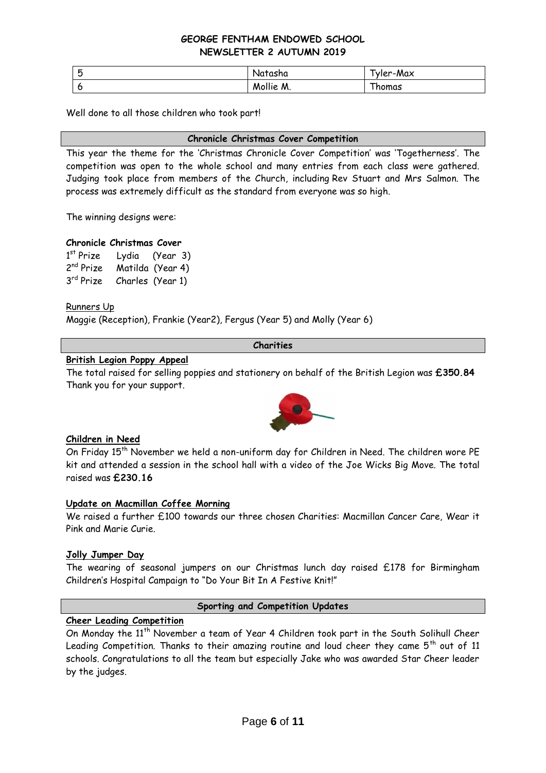| ~ | Natasha   | -<br>-Max<br>vler- |
|---|-----------|--------------------|
|   | Mollie M. | homas              |

Well done to all those children who took part!

### **Chronicle Christmas Cover Competition**

This year the theme for the 'Christmas Chronicle Cover Competition' was 'Togetherness'. The competition was open to the whole school and many entries from each class were gathered. Judging took place from members of the Church, including Rev Stuart and Mrs Salmon. The process was extremely difficult as the standard from everyone was so high.

The winning designs were:

### **Chronicle Christmas Cover**

| $1st$ Prize           | Lydia | (Year 3)         |
|-----------------------|-------|------------------|
| 2 <sup>nd</sup> Prize |       | Matilda (Year 4) |
| 3rd Prize             |       | Charles (Year 1) |

### Runners Up

Maggie (Reception), Frankie (Year2), Fergus (Year 5) and Molly (Year 6)

# **Charities**

# **British Legion Poppy Appeal**

The total raised for selling poppies and stationery on behalf of the British Legion was **£350.84** Thank you for your support.



#### **Children in Need**

On Friday 15<sup>th</sup> November we held a non-uniform day for Children in Need. The children wore PE kit and attended a session in the school hall with a video of the Joe Wicks Big Move. The total raised was **£230.16**

### **Update on Macmillan Coffee Morning**

We raised a further £100 towards our three chosen Charities: Macmillan Cancer Care, Wear it Pink and Marie Curie.

# **Jolly Jumper Day**

The wearing of seasonal jumpers on our Christmas lunch day raised £178 for Birmingham Children's Hospital Campaign to "Do Your Bit In A Festive Knit!"

#### **Sporting and Competition Updates**

# **Cheer Leading Competition**

On Monday the  $11<sup>th</sup>$  November a team of Year 4 Children took part in the South Solihull Cheer Leading Competition. Thanks to their amazing routine and loud cheer they came  $5<sup>th</sup>$  out of 11 schools. Congratulations to all the team but especially Jake who was awarded Star Cheer leader by the judges.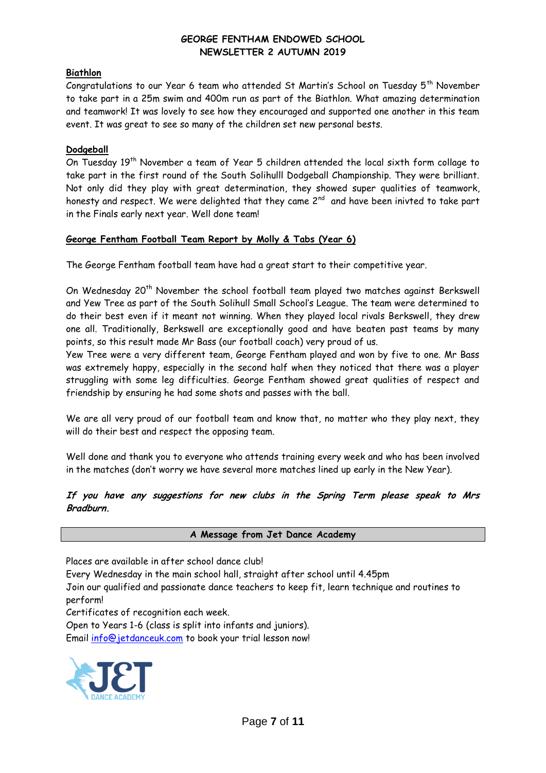# **Biathlon**

Congratulations to our Year 6 team who attended St Martin's School on Tuesday 5<sup>th</sup> November to take part in a 25m swim and 400m run as part of the Biathlon. What amazing determination and teamwork! It was lovely to see how they encouraged and supported one another in this team event. It was great to see so many of the children set new personal bests.

# **Dodgeball**

On Tuesday 19<sup>th</sup> November a team of Year 5 children attended the local sixth form collage to take part in the first round of the South Solihulll Dodgeball Championship. They were brilliant. Not only did they play with great determination, they showed super qualities of teamwork, honesty and respect. We were delighted that they came 2 $^{\text{nd}}$  and have been inivted to take part in the Finals early next year. Well done team!

# **George Fentham Football Team Report by Molly & Tabs (Year 6)**

The George Fentham football team have had a great start to their competitive year.

On Wednesday 20<sup>th</sup> November the school football team played two matches against Berkswell and Yew Tree as part of the South Solihull Small School's League. The team were determined to do their best even if it meant not winning. When they played local rivals Berkswell, they drew one all. Traditionally, Berkswell are exceptionally good and have beaten past teams by many points, so this result made Mr Bass (our football coach) very proud of us.

Yew Tree were a very different team, George Fentham played and won by five to one. Mr Bass was extremely happy, especially in the second half when they noticed that there was a player struggling with some leg difficulties. George Fentham showed great qualities of respect and friendship by ensuring he had some shots and passes with the ball.

We are all very proud of our football team and know that, no matter who they play next, they will do their best and respect the opposing team.

Well done and thank you to everyone who attends training every week and who has been involved in the matches (don't worry we have several more matches lined up early in the New Year).

# **If you have any suggestions for new clubs in the Spring Term please speak to Mrs Bradburn.**

**A Message from Jet Dance Academy**

Places are available in after school dance club!

Every Wednesday in the main school hall, straight after school until 4.45pm

Join our qualified and passionate dance teachers to keep fit, learn technique and routines to perform!

Certificates of recognition each week.

Open to Years 1-6 (class is split into infants and juniors).

Email [info@jetdanceuk.com](mailto:info@jetdanceuk.com) to book your trial lesson now!

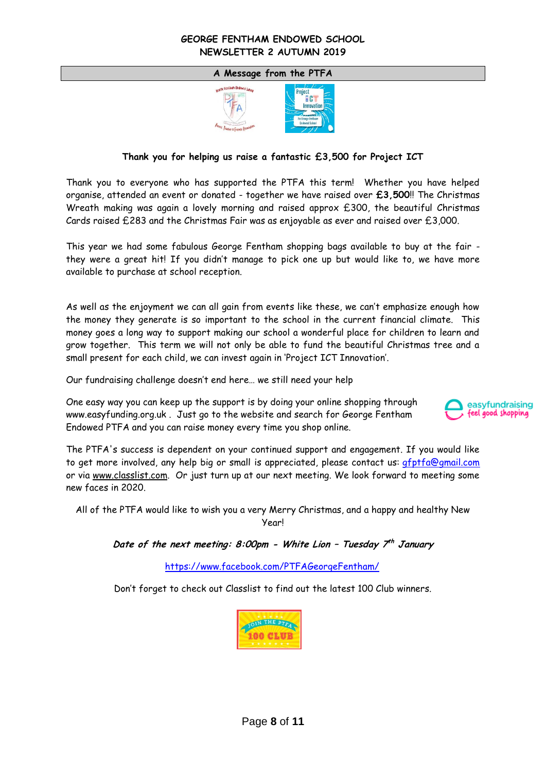

### **Thank you for helping us raise a fantastic £3,500 for Project ICT**

Thank you to everyone who has supported the PTFA this term! Whether you have helped organise, attended an event or donated - together we have raised over **£3,500**!! The Christmas Wreath making was again a lovely morning and raised approx £300, the beautiful Christmas Cards raised £283 and the Christmas Fair was as enjoyable as ever and raised over £3,000.

This year we had some fabulous George Fentham shopping bags available to buy at the fair they were a great hit! If you didn't manage to pick one up but would like to, we have more available to purchase at school reception.

As well as the enjoyment we can all gain from events like these, we can't emphasize enough how the money they generate is so important to the school in the current financial climate. This money goes a long way to support making our school a wonderful place for children to learn and grow together. This term we will not only be able to fund the beautiful Christmas tree and a small present for each child, we can invest again in 'Project ICT Innovation'.

Our fundraising challenge doesn't end here… we still need your help

One easy way you can keep up the support is by doing your online shopping through www.easyfunding.org.uk . Just go to the website and search for George Fentham Endowed PTFA and you can raise money every time you shop online.



The PTFA's success is dependent on your continued support and engagement. If you would like to get more involved, any help big or small is appreciated, please contact us: [gfptfa@gmail.com](mailto:gfptfa@gmail.com) or via [www.classlist.com.](http://www.classlist.com/) Or just turn up at our next meeting. We look forward to meeting some new faces in 2020.

All of the PTFA would like to wish you a very Merry Christmas, and a happy and healthy New Year!

# **Date of the next meeting: 8:00pm - White Lion – Tuesday 7 th January**

<https://www.facebook.com/PTFAGeorgeFentham/>

Don't forget to check out Classlist to find out the latest 100 Club winners.

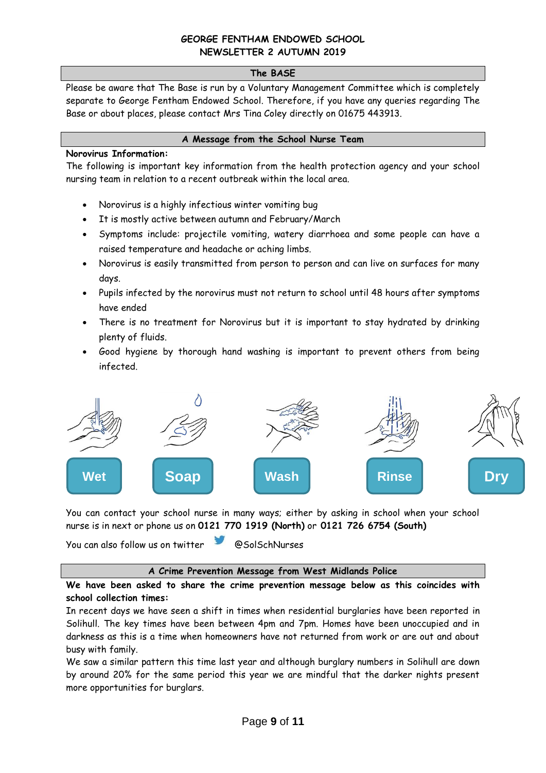#### **The BASE**

Please be aware that The Base is run by a Voluntary Management Committee which is completely separate to George Fentham Endowed School. Therefore, if you have any queries regarding The Base or about places, please contact Mrs Tina Coley directly on 01675 443913.

# **A Message from the School Nurse Team**

# **Norovirus Information:**

The following is important key information from the health protection agency and your school nursing team in relation to a recent outbreak within the local area.

- Norovirus is a highly infectious winter vomiting bug
- It is mostly active between autumn and February/March
- Symptoms include: projectile vomiting, watery diarrhoea and some people can have a raised temperature and headache or aching limbs.
- Norovirus is easily transmitted from person to person and can live on surfaces for many days.
- Pupils infected by the norovirus must not return to school until 48 hours after symptoms have ended
- There is no treatment for Norovirus but it is important to stay hydrated by drinking plenty of fluids.
- Good hygiene by thorough hand washing is important to prevent others from being infected.



You can contact your school nurse in many ways; either by asking in school when your school nurse is in next or phone us on **0121 770 1919 (North)** or **0121 726 6754 (South)**

You can also follow us on twitter @SolSchNurses

# **A Crime Prevention Message from West Midlands Police**

**We have been asked to share the crime prevention message below as this coincides with school collection times:**

In recent days we have seen a shift in times when residential burglaries have been reported in Solihull. The key times have been between 4pm and 7pm. Homes have been unoccupied and in darkness as this is a time when homeowners have not returned from work or are out and about busy with family.

We saw a similar pattern this time last year and although burglary numbers in Solihull are down by around 20% for the same period this year we are mindful that the darker nights present more opportunities for burglars.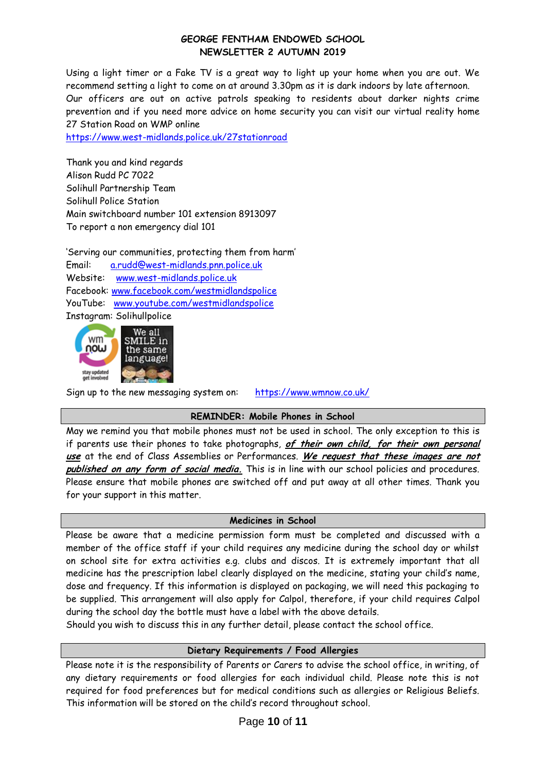Using a light timer or a Fake TV is a great way to light up your home when you are out. We recommend setting a light to come on at around 3.30pm as it is dark indoors by late afternoon. Our officers are out on active patrols speaking to residents about darker nights crime prevention and if you need more advice on home security you can visit our virtual reality home 27 Station Road on WMP online

[https://www.west-midlands.police.uk/27stationroad](https://protect-eu.mimecast.com/s/CHV1CK86DS220y1HMxWut?domain=west-midlands.police.uk)

Thank you and kind regards Alison Rudd PC 7022 Solihull Partnership Team Solihull Police Station Main switchboard number 101 extension 8913097 To report a non emergency dial 101

'Serving our communities, protecting them from harm' Email: [a.rudd@west-midlands.pnn.police.uk](mailto:a.rudd@west-midlands.pnn.police.uk) Website: [www.west-midlands.police.uk](https://protect-eu.mimecast.com/s/FI5RCMZ9GiqqGyJiJhoEu?domain=west-midlands.police.uk) Facebook: [www.facebook.com/westmidlandspolice](https://protect-eu.mimecast.com/s/DC9yCOgZKhppoLOhP4Sdq?domain=facebook.com) YouTube: [www.youtube.com/westmidlandspolice](https://protect-eu.mimecast.com/s/q7wyCQkOMtkkm1Rt9txxg?domain=youtube.com) Instagram: Solihullpolice



Sign up to the new messaging system on: [https://www.wmnow.co.uk/](https://protect-eu.mimecast.com/s/4bsXCRlLNtvv8DOs0zRAa?domain=wmnow.co.uk)

# **REMINDER: Mobile Phones in School**

May we remind you that mobile phones must not be used in school. The only exception to this is if parents use their phones to take photographs, **of their own child, for their own personal use** at the end of Class Assemblies or Performances. **We request that these images are not published on any form of social media.** This is in line with our school policies and procedures. Please ensure that mobile phones are switched off and put away at all other times. Thank you for your support in this matter.

# **Medicines in School**

Please be aware that a medicine permission form must be completed and discussed with a member of the office staff if your child requires any medicine during the school day or whilst on school site for extra activities e.g. clubs and discos. It is extremely important that all medicine has the prescription label clearly displayed on the medicine, stating your child's name, dose and frequency. If this information is displayed on packaging, we will need this packaging to be supplied. This arrangement will also apply for Calpol, therefore, if your child requires Calpol during the school day the bottle must have a label with the above details.

Should you wish to discuss this in any further detail, please contact the school office.

#### **Dietary Requirements / Food Allergies**

Please note it is the responsibility of Parents or Carers to advise the school office, in writing, of any dietary requirements or food allergies for each individual child. Please note this is not required for food preferences but for medical conditions such as allergies or Religious Beliefs. This information will be stored on the child's record throughout school.